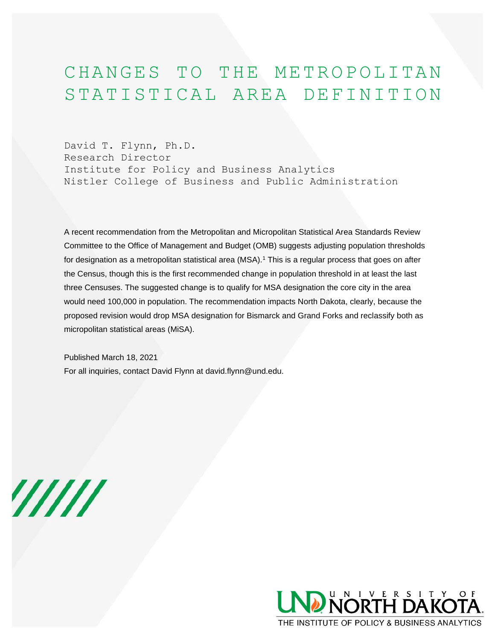## CHANGES TO THE METROPOLITAN STATISTICAL AREA DEFINITION

David T. Flynn, Ph.D. Research Director Institute for Policy and Business Analytics Nistler College of Business and Public Administration

A recent recommendation from the Metropolitan and Micropolitan Statistical Area Standards Review Committee to the Office of Management and Budget (OMB) suggests adjusting population thresholds for designation as a metropolitan statistical area (MSA).<sup>1</sup> This is a regular process that goes on after the Census, though this is the first recommended change in population threshold in at least the last three Censuses. The suggested change is to qualify for MSA designation the core city in the area would need 100,000 in population. The recommendation impacts North Dakota, clearly, because the proposed revision would drop MSA designation for Bismarck and Grand Forks and reclassify both as micropolitan statistical areas (MiSA).

Published March 18, 2021

For all inquiries, contact David Flynn at david.flynn@und.edu.